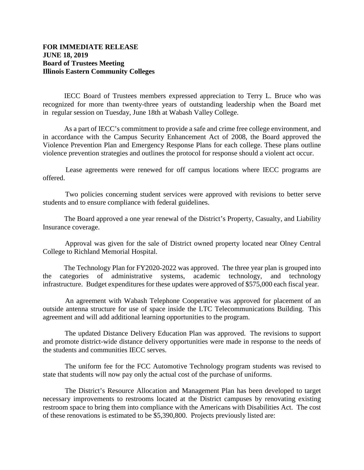## **FOR IMMEDIATE RELEASE JUNE 18, 2019 Board of Trustees Meeting Illinois Eastern Community Colleges**

IECC Board of Trustees members expressed appreciation to Terry L. Bruce who was recognized for more than twenty-three years of outstanding leadership when the Board met in regular session on Tuesday, June 18th at Wabash Valley College.

As a part of IECC's commitment to provide a safe and crime free college environment, and in accordance with the Campus Security Enhancement Act of 2008, the Board approved the Violence Prevention Plan and Emergency Response Plans for each college. These plans outline violence prevention strategies and outlines the protocol for response should a violent act occur.

 Lease agreements were renewed for off campus locations where IECC programs are offered.

 Two policies concerning student services were approved with revisions to better serve students and to ensure compliance with federal guidelines.

The Board approved a one year renewal of the District's Property, Casualty, and Liability Insurance coverage.

 Approval was given for the sale of District owned property located near Olney Central College to Richland Memorial Hospital.

 The Technology Plan for FY2020-2022 was approved. The three year plan is grouped into the categories of administrative systems, academic technology, and technology infrastructure. Budget expenditures for these updates were approved of \$575,000 each fiscal year.

 An agreement with Wabash Telephone Cooperative was approved for placement of an outside antenna structure for use of space inside the LTC Telecommunications Building. This agreement and will add additional learning opportunities to the program.

 The updated Distance Delivery Education Plan was approved. The revisions to support and promote district-wide distance delivery opportunities were made in response to the needs of the students and communities IECC serves.

 The uniform fee for the FCC Automotive Technology program students was revised to state that students will now pay only the actual cost of the purchase of uniforms.

 The District's Resource Allocation and Management Plan has been developed to target necessary improvements to restrooms located at the District campuses by renovating existing restroom space to bring them into compliance with the Americans with Disabilities Act. The cost of these renovations is estimated to be \$5,390,800. Projects previously listed are: